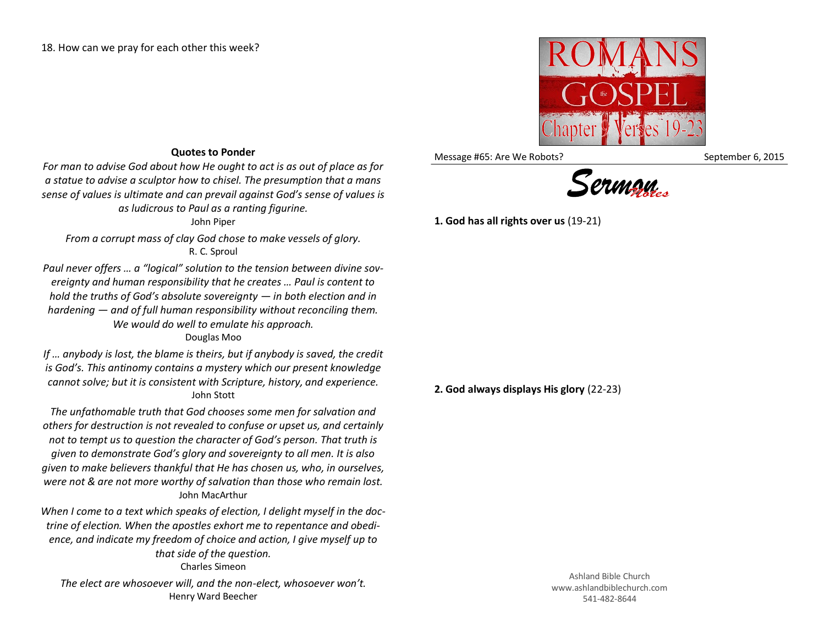

Message #65: Are We Robots? September 6, 2015



**1. God has all rights over us** (19-21)

**Quotes to Ponder**

*For man to advise God about how He ought to act is as out of place as for a statue to advise a sculptor how to chisel. The presumption that a mans sense of values is ultimate and can prevail against God's sense of values is as ludicrous to Paul as a ranting figurine.*

John Piper

*From a corrupt mass of clay God chose to make vessels of glory.* R. C. Sproul

*Paul never offers … a "logical" solution to the tension between divine sovereignty and human responsibility that he creates … Paul is content to hold the truths of God's absolute sovereignty — in both election and in hardening — and of full human responsibility without reconciling them. We would do well to emulate his approach.* Douglas Moo

*If … anybody is lost, the blame is theirs, but if anybody is saved, the credit is God's. This antinomy contains a mystery which our present knowledge cannot solve; but it is consistent with Scripture, history, and experience.* John Stott

*The unfathomable truth that God chooses some men for salvation and others for destruction is not revealed to confuse or upset us, and certainly not to tempt us to question the character of God's person. That truth is given to demonstrate God's glory and sovereignty to all men. It is also given to make believers thankful that He has chosen us, who, in ourselves, were not & are not more worthy of salvation than those who remain lost.* John MacArthur

*When I come to a text which speaks of election, I delight myself in the doctrine of election. When the apostles exhort me to repentance and obedience, and indicate my freedom of choice and action, I give myself up to that side of the question.* Charles Simeon

*The elect are whosoever will, and the non-elect, whosoever won't.* Henry Ward Beecher

**2. God always displays His glory** (22-23)

Ashland Bible Church www.ashlandbiblechurch.com 541-482-8644